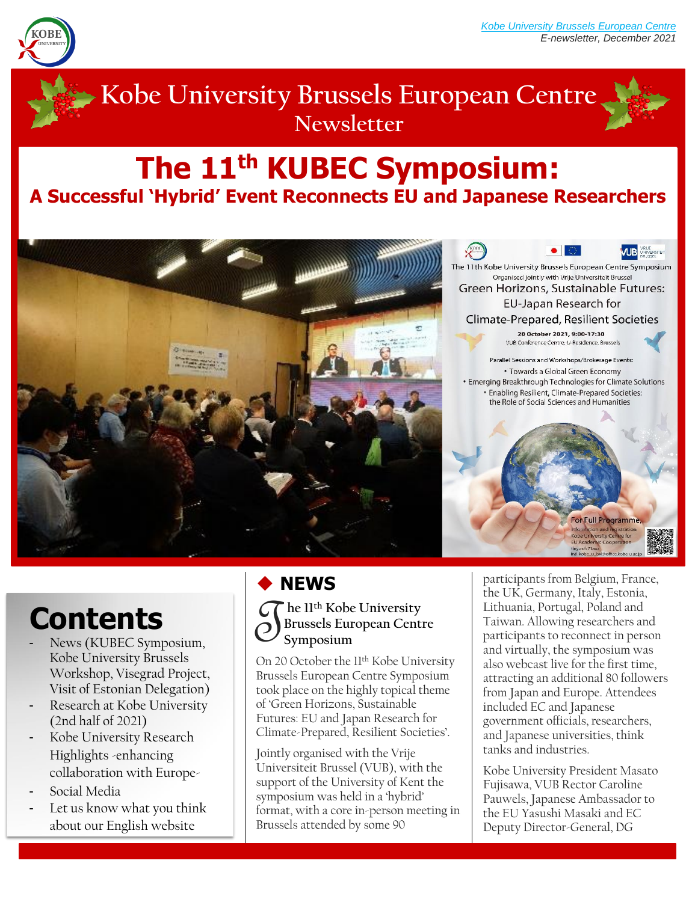

# **Kobe University Brussels European Centre Newsletter**

# **The 11th KUBEC Symposium: A Successful 'Hybrid' Event Reconnects EU and Japanese Researchers**



# **Contents**

- News (KUBEC Symposium, Kobe University Brussels Workshop, Visegrad Project, Visit of Estonian Delegation)
- Research at Kobe University (2nd half of 2021)
- Kobe University Research Highlights -enhancing collaboration with Europe-
- Social Media
- Let us know what you think about our English website

## ◆ **NEWS**

**he 11th Kobe University Brussels European Centre Symposium** T

On 20 October the 11<sup>th</sup> Kobe University Brussels European Centre Symposium took place on the highly topical theme of 'Green Horizons, Sustainable Futures: EU and Japan Research for Climate-Prepared, Resilient Societies'.

Jointly organised with the Vrije Universiteit Brussel (VUB), with the support of the University of Kent the symposium was held in a 'hybrid' format, with a core in-person meeting in Brussels attended by some 90

The 11th Kobe University Brussels European Centre Symposium Organised jointly with Vrije Universiteit Brussel Green Horizons, Sustainable Futures: EU-Japan Research for Climate-Prepared, Resilient Societies 20 October 2021, 9:00-17:30 VUB Conference Centre, U-Residence, Brussels Parallel Sessions and Workshops/Brokerage Events: • Towards a Global Green Economy · Emerging Breakthrough Technologies for Climate Solutions · Enabling Resilient, Climate-Prepared Societies: the Role of Social Sciences and Humanities

**UB** UNIVERSITED

participants from Belgium, France, the UK, Germany, Italy, Estonia, Lithuania, Portugal, Poland and Taiwan. Allowing researchers and participants to reconnect in person and virtually, the symposium was also webcast live for the first time, attracting an additional 80 followers from Japan and Europe. Attendees included EC and Japanese government officials, researchers, and Japanese universities, think tanks and industries.

For Full Programm

Kobe University President Masato Fujisawa, VUB Rector Caroline Pauwels, Japanese Ambassador to the EU Yasushi Masaki and EC Deputy Director-General, DG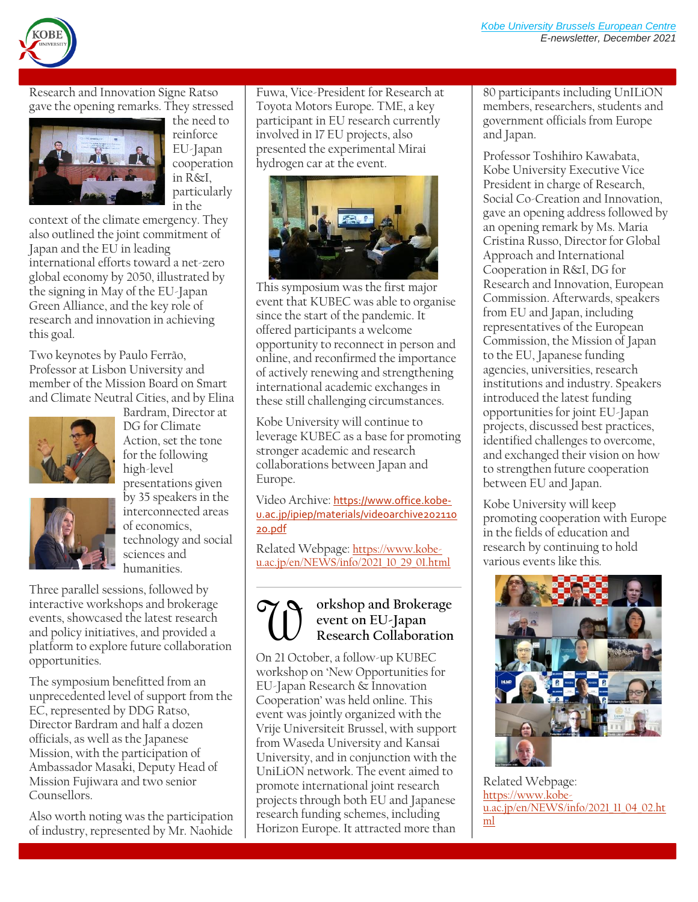

Research and Innovation Signe Ratso gave the opening remarks. They stressed



the need to reinforce EU-Japan cooperation in R&I, particularly in the

context of the climate emergency. They also outlined the joint commitment of Japan and the EU in leading international efforts toward a net-zero global economy by 2050, illustrated by the signing in May of the EU-Japan Green Alliance, and the key role of research and innovation in achieving this goal.

Two keynotes by Paulo Ferrão, Professor at Lisbon University and member of the Mission Board on Smart and Climate Neutral Cities, and by Elina





Bardram, Director at

Three parallel sessions, followed by interactive workshops and brokerage events, showcased the latest research and policy initiatives, and provided a platform to explore future collaboration opportunities.

The symposium benefitted from an unprecedented level of support from the EC, represented by DDG Ratso, Director Bardram and half a dozen officials, as well as the Japanese Mission, with the participation of Ambassador Masaki, Deputy Head of Mission Fujiwara and two senior Counsellors.

Also worth noting was the participation of industry, represented by Mr. Naohide

Fuwa, Vice-President for Research at Toyota Motors Europe. TME, a key participant in EU research currently involved in 17 EU projects, also presented the experimental Mirai hydrogen car at the event.



This symposium was the first major event that KUBEC was able to organise since the start of the pandemic. It offered participants a welcome opportunity to reconnect in person and online, and reconfirmed the importance of actively renewing and strengthening international academic exchanges in these still challenging circumstances.

Kobe University will continue to leverage KUBEC as a base for promoting stronger academic and research collaborations between Japan and Europe.

Video Archive: [https://www.office.kobe](https://www.office.kobe-u.ac.jp/ipiep/materials/videoarchive20211020.pdf)[u.ac.jp/ipiep/materials/videoarchive202110](https://www.office.kobe-u.ac.jp/ipiep/materials/videoarchive20211020.pdf) [20.pdf](https://www.office.kobe-u.ac.jp/ipiep/materials/videoarchive20211020.pdf)

Related Webpage: [https://www.kobe](https://www.kobe-u.ac.jp/en/NEWS/info/2021_10_29_01.html)[u.ac.jp/en/NEWS/info/2021\\_10\\_29\\_01.html](https://www.kobe-u.ac.jp/en/NEWS/info/2021_10_29_01.html)

#### **orkshop and Brokerage event on EU-Japan Research Collaboration TUP**

On 21 October, a follow-up KUBEC workshop on 'New Opportunities for EU-Japan Research & Innovation Cooperation' was held online. This event was jointly organized with the Vrije Universiteit Brussel, with support from Waseda University and Kansai University, and in conjunction with the UniLiON network. The event aimed to promote international joint research projects through both EU and Japanese research funding schemes, including Horizon Europe. It attracted more than

80 participants including UnILiON members, researchers, students and government officials from Europe and Japan.

Professor Toshihiro Kawabata, Kobe University Executive Vice President in charge of Research, Social Co-Creation and Innovation, gave an opening address followed by an opening remark by Ms. Maria Cristina Russo, Director for Global Approach and International Cooperation in R&I, DG for Research and Innovation, European Commission. Afterwards, speakers from EU and Japan, including representatives of the European Commission, the Mission of Japan to the EU, Japanese funding agencies, universities, research institutions and industry. Speakers introduced the latest funding opportunities for joint EU-Japan projects, discussed best practices, identified challenges to overcome, and exchanged their vision on how to strengthen future cooperation between EU and Japan.

Kobe University will keep promoting cooperation with Europe in the fields of education and research by continuing to hold various events like this.



Related Webpage: [https://www.kobe](https://www.kobe-u.ac.jp/en/NEWS/info/2021_11_04_02.html)[u.ac.jp/en/NEWS/info/2021\\_11\\_04\\_02.ht](https://www.kobe-u.ac.jp/en/NEWS/info/2021_11_04_02.html) [ml](https://www.kobe-u.ac.jp/en/NEWS/info/2021_11_04_02.html)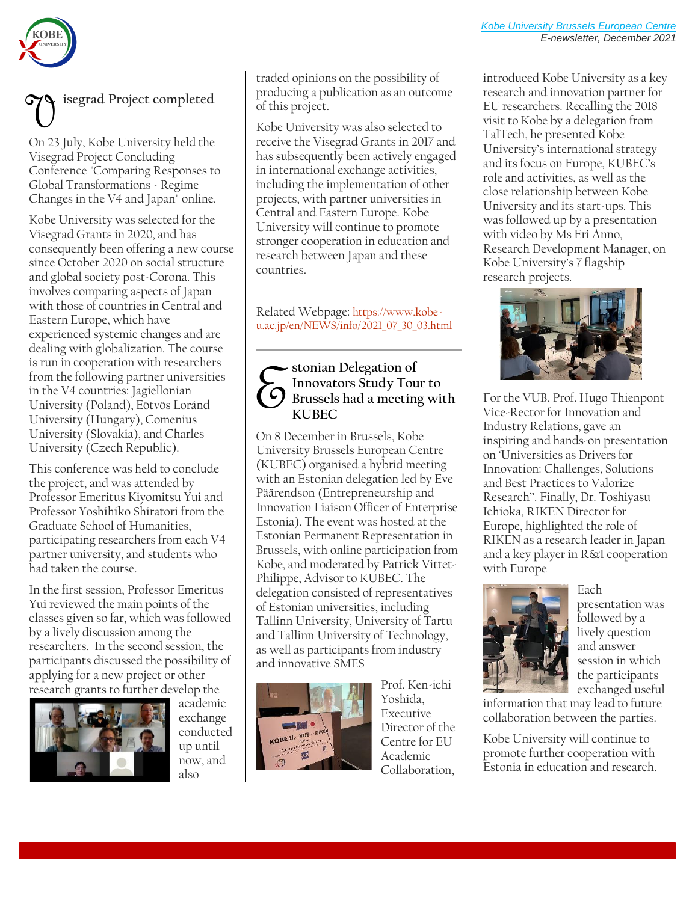

## **isegrad Project completed** V

On 23 July, Kobe University held the Visegrad Project Concluding Conference "Comparing Responses to Global Transformations - Regime Changes in the V4 and Japan" online.

Kobe University was selected for the Visegrad Grants in 2020, and has consequently been offering a new course since October 2020 on social structure and global society post-Corona. This involves comparing aspects of Japan with those of countries in Central and Eastern Europe, which have experienced systemic changes and are dealing with globalization. The course is run in cooperation with researchers from the following partner universities in the V4 countries: Jagiellonian University (Poland), Eötvös Loránd University (Hungary), Comenius University (Slovakia), and Charles University (Czech Republic).

This conference was held to conclude the project, and was attended by Professor Emeritus Kiyomitsu Yui and Professor Yoshihiko Shiratori from the Graduate School of Humanities, participating researchers from each V4 partner university, and students who had taken the course.

In the first session, Professor Emeritus Yui reviewed the main points of the classes given so far, which was followed by a lively discussion among the researchers. In the second session, the participants discussed the possibility of applying for a new project or other research grants to further develop the



academic exchange conducted up until now, and also

traded opinions on the possibility of producing a publication as an outcome of this project.

Kobe University was also selected to receive the Visegrad Grants in 2017 and has subsequently been actively engaged in international exchange activities, including the implementation of other projects, with partner universities in Central and Eastern Europe. Kobe University will continue to promote stronger cooperation in education and research between Japan and these countries.

Related Webpage: [https://www.kobe](https://www.kobe-u.ac.jp/en/NEWS/info/2021_07_30_03.html)[u.ac.jp/en/NEWS/info/2021\\_07\\_30\\_03.html](https://www.kobe-u.ac.jp/en/NEWS/info/2021_07_30_03.html)

#### **stonian Delegation of Innovators Study Tour to Brussels had a meeting with KUBEC**  $\mathcal{E}$

On 8 December in Brussels, Kobe University Brussels European Centre (KUBEC) organised a hybrid meeting with an Estonian delegation led by Eve Päärendson (Entrepreneurship and Innovation Liaison Officer of Enterprise Estonia). The event was hosted at the Estonian Permanent Representation in Brussels, with online participation from Kobe, and moderated by Patrick Vittet-Philippe, Advisor to KUBEC. The delegation consisted of representatives of Estonian universities, including Tallinn University, University of Tartu and Tallinn University of Technology, as well as participants from industry and innovative SMES



Prof. Ken-ichi Yoshida, Executive Director of the Centre for EU Academic Collaboration,

introduced Kobe University as a key research and innovation partner for EU researchers. Recalling the 2018 visit to Kobe by a delegation from TalTech, he presented Kobe University's international strategy and its focus on Europe, KUBEC's role and activities, as well as the close relationship between Kobe University and its start-ups. This was followed up by a presentation with video by Ms Eri Anno, Research Development Manager, on Kobe University's 7 flagship research projects.



For the VUB, Prof. Hugo Thienpont Vice-Rector for Innovation and Industry Relations, gave an inspiring and hands-on presentation on 'Universities as Drivers for Innovation: Challenges, Solutions and Best Practices to Valorize Research''. Finally, Dr. Toshiyasu Ichioka, RIKEN Director for Europe, highlighted the role of RIKEN as a research leader in Japan and a key player in R&I cooperation with Europe



Each presentation was followed by a lively question and answer session in which the participants exchanged useful

information that may lead to future collaboration between the parties.

Kobe University will continue to promote further cooperation with Estonia in education and research.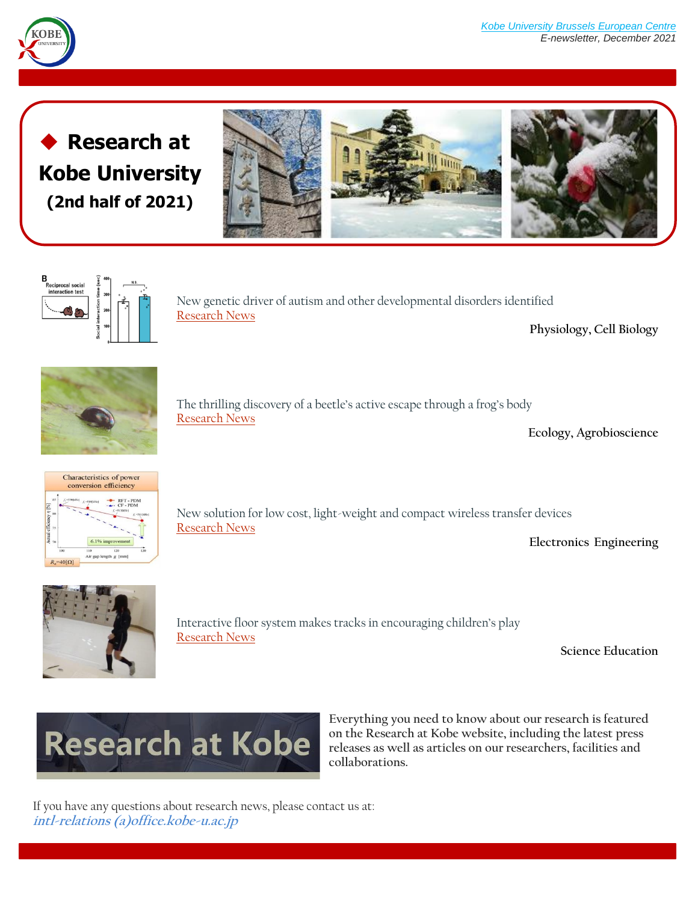

**Research at Kobe University (2nd half of 2021)**





New genetic driver of autism and other developmental disorders identified [Research News](https://www.kobe-u.ac.jp/research_at_kobe_en/NEWS/news/2021_07_09_01.html)

**Physiology, Cell Biology**



The thrilling discovery of a beetle's active escape through a frog's body [Research News](https://www.kobe-u.ac.jp/research_at_kobe_en/NEWS/people/2021_07_30_01.html)

**Ecology, Agrobioscience**



New solution for low cost, light-weight and compact wireless transfer devices [Research News](https://www.kobe-u.ac.jp/research_at_kobe_en/NEWS/news/2021_10_21_01.html)

**Electronics Engineering**



Interactive floor system makes tracks in encouraging children's play [Research News](https://www.kobe-u.ac.jp/research_at_kobe_en/NEWS/news/2021_10_26_01.html)

**Science Education**



**Everything you need to know about our research is featured on the Research at Kobe website, including the latest press releases as well as articles on our researchers, facilities and collaborations.**

If you have any questions about research news, please contact us at: **intl-relations (a)office.kobe-u.ac.jp**